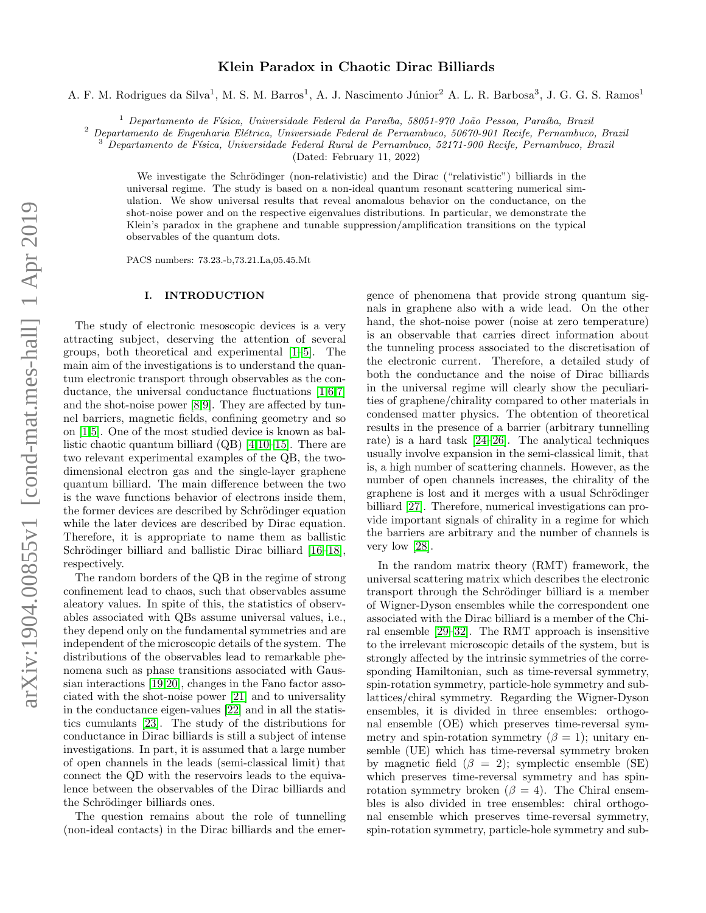# $arXiv:1904.00855v1$  [cond-mat.mes-hall]  $1$  Apr 2019 arXiv:1904.00855v1 [cond-mat.mes-hall] 1 Apr 2019

# Klein Paradox in Chaotic Dirac Billiards

A. F. M. Rodrigues da Silva<sup>1</sup>, M. S. M. Barros<sup>1</sup>, A. J. Nascimento Júnior<sup>2</sup> A. L. R. Barbosa<sup>3</sup>, J. G. G. S. Ramos<sup>1</sup>

 $1$  Departamento de Física, Universidade Federal da Paraíba, 58051-970 João Pessoa, Paraíba, Brazil

<sup>2</sup> Departamento de Engenharia Elétrica, Universiade Federal de Pernambuco, 50670-901 Recife, Pernambuco, Brazil

<sup>3</sup> Departamento de F´ısica, Universidade Federal Rural de Pernambuco, 52171-900 Recife, Pernambuco, Brazil

(Dated: February 11, 2022)

We investigate the Schrödinger (non-relativistic) and the Dirac ("relativistic") billiards in the universal regime. The study is based on a non-ideal quantum resonant scattering numerical simulation. We show universal results that reveal anomalous behavior on the conductance, on the shot-noise power and on the respective eigenvalues distributions. In particular, we demonstrate the Klein's paradox in the graphene and tunable suppression/amplification transitions on the typical observables of the quantum dots.

PACS numbers: 73.23.-b,73.21.La,05.45.Mt

## I. INTRODUCTION

The study of electronic mesoscopic devices is a very attracting subject, deserving the attention of several groups, both theoretical and experimental [\[1–](#page-7-0)[5\]](#page-8-0). The main aim of the investigations is to understand the quantum electronic transport through observables as the conductance, the universal conductance fluctuations [\[1,](#page-7-0)[6,](#page-8-1)[7\]](#page-8-2) and the shot-noise power [\[8,](#page-8-3)[9\]](#page-8-4). They are affected by tunnel barriers, magnetic fields, confining geometry and so on [\[1](#page-7-0)[,5\]](#page-8-0). One of the most studied device is known as ballistic chaotic quantum billiard (QB) [\[4,](#page-8-5)[10–](#page-8-6)[15\]](#page-8-7). There are two relevant experimental examples of the QB, the twodimensional electron gas and the single-layer graphene quantum billiard. The main difference between the two is the wave functions behavior of electrons inside them, the former devices are described by Schrödinger equation while the later devices are described by Dirac equation. Therefore, it is appropriate to name them as ballistic Schrödinger billiard and ballistic Dirac billiard  $[16–18]$  $[16–18]$ , respectively.

The random borders of the QB in the regime of strong confinement lead to chaos, such that observables assume aleatory values. In spite of this, the statistics of observables associated with QBs assume universal values, i.e., they depend only on the fundamental symmetries and are independent of the microscopic details of the system. The distributions of the observables lead to remarkable phenomena such as phase transitions associated with Gaussian interactions [\[19](#page-8-10)[,20\]](#page-8-11), changes in the Fano factor associated with the shot-noise power [\[21\]](#page-8-12) and to universality in the conductance eigen-values [\[22\]](#page-8-13) and in all the statistics cumulants [\[23\]](#page-8-14). The study of the distributions for conductance in Dirac billiards is still a subject of intense investigations. In part, it is assumed that a large number of open channels in the leads (semi-classical limit) that connect the QD with the reservoirs leads to the equivalence between the observables of the Dirac billiards and the Schrödinger billiards ones.

The question remains about the role of tunnelling (non-ideal contacts) in the Dirac billiards and the emergence of phenomena that provide strong quantum signals in graphene also with a wide lead. On the other hand, the shot-noise power (noise at zero temperature) is an observable that carries direct information about the tunneling process associated to the discretisation of the electronic current. Therefore, a detailed study of both the conductance and the noise of Dirac billiards in the universal regime will clearly show the peculiarities of graphene/chirality compared to other materials in condensed matter physics. The obtention of theoretical results in the presence of a barrier (arbitrary tunnelling rate) is a hard task [\[24](#page-8-15)[–26\]](#page-8-16). The analytical techniques usually involve expansion in the semi-classical limit, that is, a high number of scattering channels. However, as the number of open channels increases, the chirality of the graphene is lost and it merges with a usual Schrödinger billiard [\[27\]](#page-8-17). Therefore, numerical investigations can provide important signals of chirality in a regime for which the barriers are arbitrary and the number of channels is very low [\[28\]](#page-8-18).

In the random matrix theory (RMT) framework, the universal scattering matrix which describes the electronic transport through the Schrödinger billiard is a member of Wigner-Dyson ensembles while the correspondent one associated with the Dirac billiard is a member of the Chiral ensemble [\[29](#page-8-19)[–32\]](#page-8-20). The RMT approach is insensitive to the irrelevant microscopic details of the system, but is strongly affected by the intrinsic symmetries of the corresponding Hamiltonian, such as time-reversal symmetry, spin-rotation symmetry, particle-hole symmetry and sublattices/chiral symmetry. Regarding the Wigner-Dyson ensembles, it is divided in three ensembles: orthogonal ensemble (OE) which preserves time-reversal symmetry and spin-rotation symmetry ( $\beta = 1$ ); unitary ensemble (UE) which has time-reversal symmetry broken by magnetic field  $(\beta = 2)$ ; symplectic ensemble (SE) which preserves time-reversal symmetry and has spinrotation symmetry broken ( $\beta = 4$ ). The Chiral ensembles is also divided in tree ensembles: chiral orthogonal ensemble which preserves time-reversal symmetry, spin-rotation symmetry, particle-hole symmetry and sub-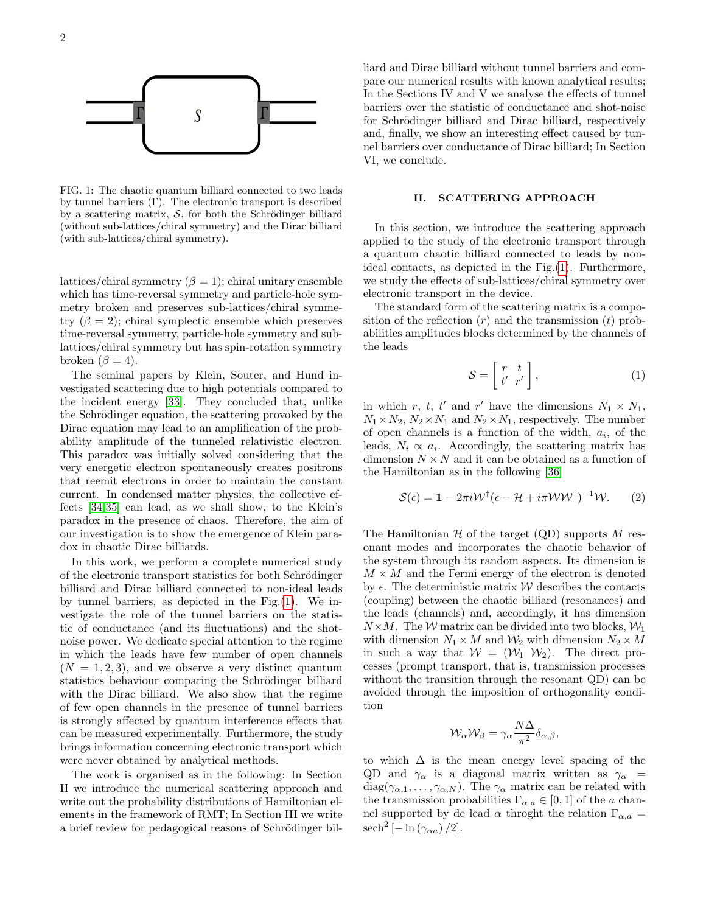

<span id="page-1-0"></span>FIG. 1: The chaotic quantum billiard connected to two leads by tunnel barriers (Γ). The electronic transport is described by a scattering matrix,  $S$ , for both the Schrödinger billiard (without sub-lattices/chiral symmetry) and the Dirac billiard (with sub-lattices/chiral symmetry).

lattices/chiral symmetry  $(\beta = 1)$ ; chiral unitary ensemble which has time-reversal symmetry and particle-hole symmetry broken and preserves sub-lattices/chiral symmetry  $(\beta = 2)$ ; chiral symplectic ensemble which preserves time-reversal symmetry, particle-hole symmetry and sublattices/chiral symmetry but has spin-rotation symmetry broken  $(\beta = 4)$ .

The seminal papers by Klein, Souter, and Hund investigated scattering due to high potentials compared to the incident energy [\[33\]](#page-8-21). They concluded that, unlike the Schrödinger equation, the scattering provoked by the Dirac equation may lead to an amplification of the probability amplitude of the tunneled relativistic electron. This paradox was initially solved considering that the very energetic electron spontaneously creates positrons that reemit electrons in order to maintain the constant current. In condensed matter physics, the collective effects [\[34,](#page-8-22)[35\]](#page-8-23) can lead, as we shall show, to the Klein's paradox in the presence of chaos. Therefore, the aim of our investigation is to show the emergence of Klein paradox in chaotic Dirac billiards.

In this work, we perform a complete numerical study of the electronic transport statistics for both Schrödinger billiard and Dirac billiard connected to non-ideal leads by tunnel barriers, as depicted in the Fig.[\(1\)](#page-1-0). We investigate the role of the tunnel barriers on the statistic of conductance (and its fluctuations) and the shotnoise power. We dedicate special attention to the regime in which the leads have few number of open channels  $(N = 1, 2, 3)$ , and we observe a very distinct quantum statistics behaviour comparing the Schrödinger billiard with the Dirac billiard. We also show that the regime of few open channels in the presence of tunnel barriers is strongly affected by quantum interference effects that can be measured experimentally. Furthermore, the study brings information concerning electronic transport which were never obtained by analytical methods.

The work is organised as in the following: In Section II we introduce the numerical scattering approach and write out the probability distributions of Hamiltonian elements in the framework of RMT; In Section III we write a brief review for pedagogical reasons of Schrödinger billiard and Dirac billiard without tunnel barriers and compare our numerical results with known analytical results; In the Sections IV and V we analyse the effects of tunnel barriers over the statistic of conductance and shot-noise for Schrödinger billiard and Dirac billiard, respectively and, finally, we show an interesting effect caused by tunnel barriers over conductance of Dirac billiard; In Section VI, we conclude.

# II. SCATTERING APPROACH

In this section, we introduce the scattering approach applied to the study of the electronic transport through a quantum chaotic billiard connected to leads by nonideal contacts, as depicted in the Fig.[\(1\)](#page-1-0). Furthermore, we study the effects of sub-lattices/chiral symmetry over electronic transport in the device.

The standard form of the scattering matrix is a composition of the reflection  $(r)$  and the transmission  $(t)$  probabilities amplitudes blocks determined by the channels of the leads

$$
\mathcal{S} = \begin{bmatrix} r & t \\ t' & r' \end{bmatrix},\tag{1}
$$

in which r, t, t' and r' have the dimensions  $N_1 \times N_1$ ,  $N_1 \times N_2$ ,  $N_2 \times N_1$  and  $N_2 \times N_1$ , respectively. The number of open channels is a function of the width,  $a_i$ , of the leads,  $N_i \propto a_i$ . Accordingly, the scattering matrix has dimension  $N \times N$  and it can be obtained as a function of the Hamiltonian as in the following [\[36\]](#page-8-24)

$$
S(\epsilon) = 1 - 2\pi i \mathcal{W}^{\dagger}(\epsilon - \mathcal{H} + i\pi \mathcal{W} \mathcal{W}^{\dagger})^{-1} \mathcal{W}.
$$
 (2)

The Hamiltonian  $\mathcal H$  of the target (QD) supports M resonant modes and incorporates the chaotic behavior of the system through its random aspects. Its dimension is  $M \times M$  and the Fermi energy of the electron is denoted by  $\epsilon$ . The deterministic matrix W describes the contacts (coupling) between the chaotic billiard (resonances) and the leads (channels) and, accordingly, it has dimension  $N\times M$ . The W matrix can be divided into two blocks,  $\mathcal{W}_1$ with dimension  $N_1 \times M$  and  $W_2$  with dimension  $N_2 \times M$ in such a way that  $W = (W_1 \ W_2)$ . The direct processes (prompt transport, that is, transmission processes without the transition through the resonant QD) can be avoided through the imposition of orthogonality condition

$$
\mathcal{W}_{\alpha}\mathcal{W}_{\beta} = \gamma_{\alpha} \frac{N\Delta}{\pi^2} \delta_{\alpha,\beta},
$$

to which  $\Delta$  is the mean energy level spacing of the QD and  $\gamma_{\alpha}$  is a diagonal matrix written as  $\gamma_{\alpha}$  =  $diag(\gamma_{\alpha,1},\ldots,\gamma_{\alpha,N}).$  The  $\gamma_{\alpha}$  matrix can be related with the transmission probabilities  $\Gamma_{\alpha,a} \in [0,1]$  of the a channel supported by de lead  $\alpha$  throght the relation  $\Gamma_{\alpha,a} =$  $\mathrm{sech}^2\left[-\ln\left(\gamma_{\alpha a}\right)/2\right].$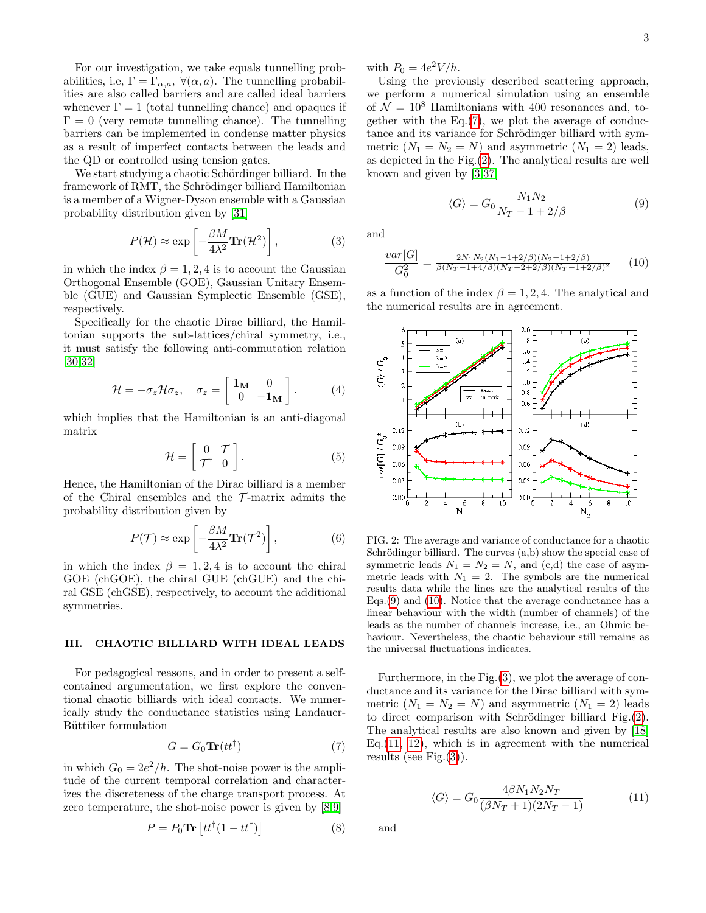For our investigation, we take equals tunnelling probabilities, i.e,  $\Gamma = \Gamma_{\alpha,a}$ ,  $\forall (\alpha, a)$ . The tunnelling probabilities are also called barriers and are called ideal barriers whenever  $\Gamma = 1$  (total tunnelling chance) and opaques if  $\Gamma = 0$  (very remote tunnelling chance). The tunnelling barriers can be implemented in condense matter physics as a result of imperfect contacts between the leads and the QD or controlled using tension gates.

We start studying a chaotic Schördinger billiard. In the framework of RMT, the Schrödinger billiard Hamiltonian is a member of a Wigner-Dyson ensemble with a Gaussian probability distribution given by [\[31\]](#page-8-25)

$$
P(\mathcal{H}) \approx \exp\left[-\frac{\beta M}{4\lambda^2} \mathbf{Tr}(\mathcal{H}^2)\right],\tag{3}
$$

in which the index  $\beta = 1, 2, 4$  is to account the Gaussian Orthogonal Ensemble (GOE), Gaussian Unitary Ensemble (GUE) and Gaussian Symplectic Ensemble (GSE), respectively.

Specifically for the chaotic Dirac billiard, the Hamiltonian supports the sub-lattices/chiral symmetry, i.e., it must satisfy the following anti-commutation relation [\[30](#page-8-26)[,32\]](#page-8-20)

$$
\mathcal{H} = -\sigma_z \mathcal{H} \sigma_z, \quad \sigma_z = \begin{bmatrix} \mathbf{1_M} & 0 \\ 0 & -\mathbf{1_M} \end{bmatrix}.
$$
 (4)

which implies that the Hamiltonian is an anti-diagonal matrix

$$
\mathcal{H} = \left[ \begin{array}{cc} 0 & \mathcal{T} \\ \mathcal{T}^{\dagger} & 0 \end{array} \right].\tag{5}
$$

Hence, the Hamiltonian of the Dirac billiard is a member of the Chiral ensembles and the  $\mathcal{T}$ -matrix admits the probability distribution given by

$$
P(\mathcal{T}) \approx \exp\left[-\frac{\beta M}{4\lambda^2} \mathbf{Tr}(\mathcal{T}^2)\right],\tag{6}
$$

in which the index  $\beta = 1, 2, 4$  is to account the chiral GOE (chGOE), the chiral GUE (chGUE) and the chiral GSE (chGSE), respectively, to account the additional symmetries.

# III. CHAOTIC BILLIARD WITH IDEAL LEADS

For pedagogical reasons, and in order to present a selfcontained argumentation, we first explore the conventional chaotic billiards with ideal contacts. We numerically study the conductance statistics using Landauer-Büttiker formulation

<span id="page-2-0"></span>
$$
G = G_0 \mathbf{Tr}(tt^\dagger) \tag{7}
$$

in which  $G_0 = 2e^2/h$ . The shot-noise power is the amplitude of the current temporal correlation and characterizes the discreteness of the charge transport process. At zero temperature, the shot-noise power is given by [\[8,](#page-8-3)[9\]](#page-8-4)

$$
P = P_0 \mathbf{Tr} \left[ t t^\dagger (1 - t t^\dagger) \right] \tag{8}
$$

with  $P_0 = 4e^2V/h$ .

Using the previously described scattering approach, we perform a numerical simulation using an ensemble of  $\mathcal{N} = 10^8$  Hamiltonians with 400 resonances and, together with the Eq.[\(7\)](#page-2-0), we plot the average of conductance and its variance for Schrödinger billiard with symmetric  $(N_1 = N_2 = N)$  and asymmetric  $(N_1 = 2)$  leads, as depicted in the Fig.[\(2\)](#page-2-1). The analytical results are well known and given by [\[3,](#page-8-27)[37\]](#page-8-28)

<span id="page-2-2"></span>
$$
\langle G \rangle = G_0 \frac{N_1 N_2}{N_T - 1 + 2/\beta} \tag{9}
$$

and

<span id="page-2-3"></span>
$$
\frac{var[G]}{G_0^2} = \frac{2N_1N_2(N_1 - 1 + 2/\beta)(N_2 - 1 + 2/\beta)}{\beta(N_T - 1 + 4/\beta)(N_T - 2 + 2/\beta)(N_T - 1 + 2/\beta)^2} \tag{10}
$$

as a function of the index  $\beta = 1, 2, 4$ . The analytical and the numerical results are in agreement.



<span id="page-2-1"></span>FIG. 2: The average and variance of conductance for a chaotic Schrödinger billiard. The curves  $(a,b)$  show the special case of symmetric leads  $N_1 = N_2 = N$ , and (c,d) the case of asymmetric leads with  $N_1 = 2$ . The symbols are the numerical results data while the lines are the analytical results of the Eqs.[\(9\)](#page-2-2) and [\(10\)](#page-2-3). Notice that the average conductance has a linear behaviour with the width (number of channels) of the leads as the number of channels increase, i.e., an Ohmic behaviour. Nevertheless, the chaotic behaviour still remains as the universal fluctuations indicates.

Furthermore, in the  $Fig. (3)$  $Fig. (3)$ , we plot the average of conductance and its variance for the Dirac billiard with symmetric  $(N_1 = N_2 = N)$  and asymmetric  $(N_1 = 2)$  leads to direct comparison with Schrödinger billiard Fig. $(2)$ . The analytical results are also known and given by [\[18\]](#page-8-9)  $Eq.(11, 12)$  $Eq.(11, 12)$  $Eq.(11, 12)$ , which is in agreement with the numerical results (see Fig. $(3)$ ).

<span id="page-2-4"></span>
$$
\langle G \rangle = G_0 \frac{4\beta N_1 N_2 N_T}{(\beta N_T + 1)(2N_T - 1)}\tag{11}
$$

and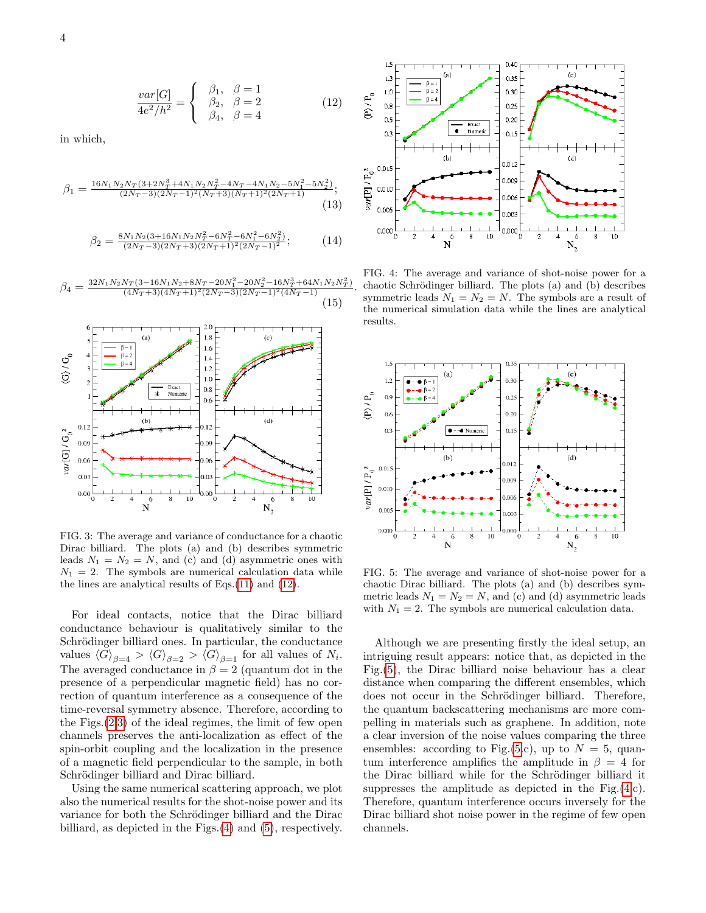<span id="page-3-1"></span>
$$
\frac{var[G]}{4e^2/h^2} = \begin{cases} \beta_1, & \beta = 1\\ \beta_2, & \beta = 2\\ \beta_4, & \beta = 4 \end{cases}
$$
 (12)

in which,

$$
\beta_1 = \frac{16N_1N_2N_T(3+2N_T^3+4N_1N_2N_T^2-4N_T-4N_1N_2-5N_T^2-5N_2^2)}{(2N_T-3)(2N_T-1)^2(N_T+3)(N_T+1)^2(2N_T+1)};
$$
\n(13)

$$
\beta_2 = \frac{8N_1N_2(3+16N_1N_2N_T^2 - 6N_T^2 - 6N_1^2 - 6N_2^2)}{(2N_T - 3)(2N_T + 3)(2N_T + 1)^2(2N_T - 1)^2};
$$
\n(14)

$$
\beta_4 = \frac{32N_1N_2N_T(3 - 16N_1N_2 + 8N_T - 20N_1^2 - 20N_2^2 - 16N_T^3 + 64N_1N_2N_T^2)}{(4N_T + 3)(4N_T + 1)^2(2N_T - 3)(2N_T - 1)^2(4N_T - 1)}.
$$
\n(15)



<span id="page-3-0"></span>FIG. 3: The average and variance of conductance for a chaotic Dirac billiard. The plots (a) and (b) describes symmetric leads  $N_1 = N_2 = N$ , and (c) and (d) asymmetric ones with  $N_1 = 2$ . The symbols are numerical calculation data while the lines are analytical results of Eqs.[\(11\)](#page-2-4) and [\(12\)](#page-3-1).

For ideal contacts, notice that the Dirac billiard conductance behaviour is qualitatively similar to the Schrödinger billiard ones. In particular, the conductance values  $\langle G \rangle_{\beta=4} > \langle G \rangle_{\beta=2} > \langle G \rangle_{\beta=1}$  for all values of  $N_i$ . The averaged conductance in  $\beta = 2$  (quantum dot in the presence of a perpendicular magnetic field) has no correction of quantum interference as a consequence of the time-reversal symmetry absence. Therefore, according to the Figs.[\(2,](#page-2-1)[3\)](#page-3-0) of the ideal regimes, the limit of few open channels preserves the anti-localization as effect of the spin-orbit coupling and the localization in the presence of a magnetic field perpendicular to the sample, in both Schrödinger billiard and Dirac billiard.

Using the same numerical scattering approach, we plot also the numerical results for the shot-noise power and its variance for both the Schrödinger billiard and the Dirac billiard, as depicted in the Figs.[\(4\)](#page-3-2) and [\(5\)](#page-3-3), respectively.



<span id="page-3-2"></span>FIG. 4: The average and variance of shot-noise power for a chaotic Schrödinger billiard. The plots (a) and (b) describes symmetric leads  $N_1 = N_2 = N$ . The symbols are a result of the numerical simulation data while the lines are analytical results.



<span id="page-3-3"></span>FIG. 5: The average and variance of shot-noise power for a chaotic Dirac billiard. The plots (a) and (b) describes symmetric leads  $N_1 = N_2 = N$ , and (c) and (d) asymmetric leads with  $N_1 = 2$ . The symbols are numerical calculation data.

Although we are presenting firstly the ideal setup, an intriguing result appears: notice that, as depicted in the Fig.[\(5\)](#page-3-3), the Dirac billiard noise behaviour has a clear distance when comparing the different ensembles, which does not occur in the Schrödinger billiard. Therefore, the quantum backscattering mechanisms are more compelling in materials such as graphene. In addition, note a clear inversion of the noise values comparing the three ensembles: according to Fig.[\(5.](#page-3-3)c), up to  $N = 5$ , quantum interference amplifies the amplitude in  $\beta = 4$  for the Dirac billiard while for the Schrödinger billiard it suppresses the amplitude as depicted in the Fig.[\(4.](#page-3-2)c). Therefore, quantum interference occurs inversely for the Dirac billiard shot noise power in the regime of few open channels.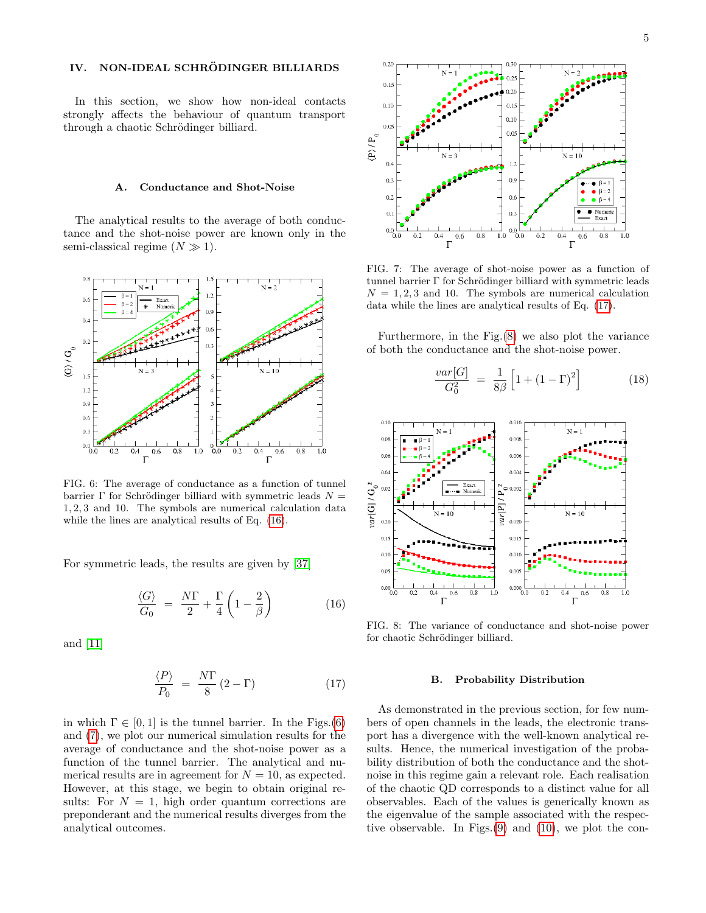# IV. NON-IDEAL SCHRÖDINGER BILLIARDS

In this section, we show how non-ideal contacts strongly affects the behaviour of quantum transport through a chaotic Schrödinger billiard.

### A. Conductance and Shot-Noise

The analytical results to the average of both conductance and the shot-noise power are known only in the semi-classical regime  $(N \gg 1)$ .



<span id="page-4-1"></span>FIG. 6: The average of conductance as a function of tunnel barrier  $\Gamma$  for Schrödinger billiard with symmetric leads  $N =$ 1, 2, 3 and 10. The symbols are numerical calculation data while the lines are analytical results of Eq. [\(16\)](#page-4-0).

For symmetric leads, the results are given by [\[37\]](#page-8-28)

<span id="page-4-0"></span>
$$
\frac{\langle G \rangle}{G_0} = \frac{N\Gamma}{2} + \frac{\Gamma}{4} \left( 1 - \frac{2}{\beta} \right) \tag{16}
$$

and [\[11\]](#page-8-29)

<span id="page-4-3"></span>
$$
\frac{\langle P \rangle}{P_0} = \frac{N\Gamma}{8} (2 - \Gamma) \tag{17}
$$

in which  $\Gamma \in [0, 1]$  is the tunnel barrier. In the Figs.[\(6\)](#page-4-1) and [\(7\)](#page-4-2), we plot our numerical simulation results for the average of conductance and the shot-noise power as a function of the tunnel barrier. The analytical and numerical results are in agreement for  $N = 10$ , as expected. However, at this stage, we begin to obtain original results: For  $N = 1$ , high order quantum corrections are preponderant and the numerical results diverges from the analytical outcomes.



<span id="page-4-2"></span>FIG. 7: The average of shot-noise power as a function of tunnel barrier  $\Gamma$  for Schrödinger billiard with symmetric leads  $N = 1, 2, 3$  and 10. The symbols are numerical calculation data while the lines are analytical results of Eq. [\(17\)](#page-4-3).

Furthermore, in the Fig.[\(8\)](#page-4-4) we also plot the variance of both the conductance and the shot-noise power.

$$
\frac{var[G]}{G_0^2} = \frac{1}{8\beta} \left[ 1 + (1 - \Gamma)^2 \right] \tag{18}
$$



<span id="page-4-4"></span>FIG. 8: The variance of conductance and shot-noise power for chaotic Schrödinger billiard.

# B. Probability Distribution

As demonstrated in the previous section, for few numbers of open channels in the leads, the electronic transport has a divergence with the well-known analytical results. Hence, the numerical investigation of the probability distribution of both the conductance and the shotnoise in this regime gain a relevant role. Each realisation of the chaotic QD corresponds to a distinct value for all observables. Each of the values is generically known as the eigenvalue of the sample associated with the respective observable. In Figs.[\(9\)](#page-5-0) and [\(10\)](#page-5-1), we plot the con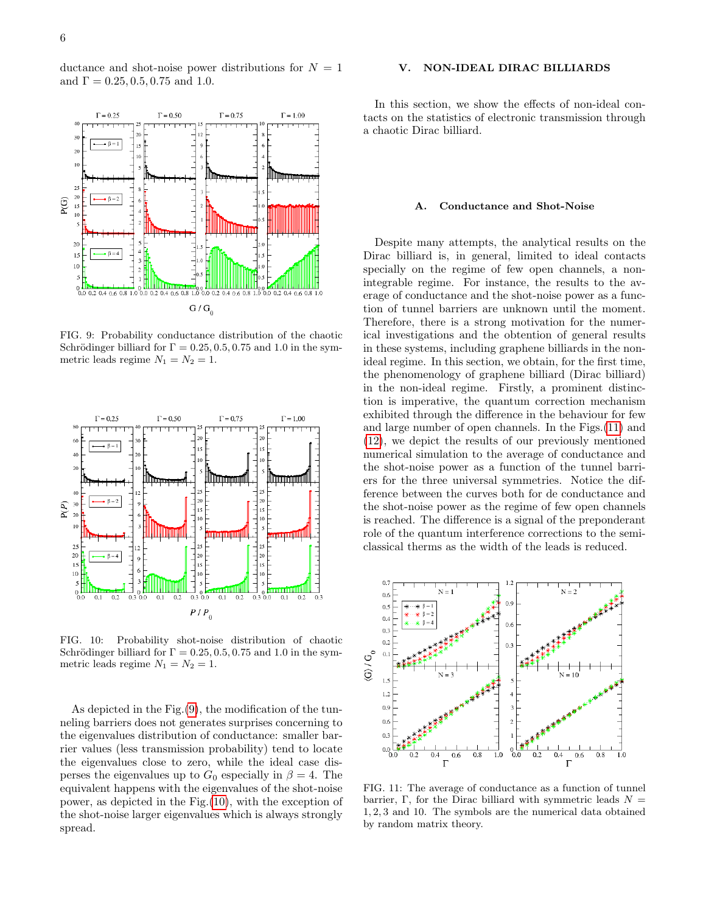ductance and shot-noise power distributions for  $N = 1$ and  $\Gamma = 0.25, 0.5, 0.75$  and 1.0.



<span id="page-5-0"></span>FIG. 9: Probability conductance distribution of the chaotic Schrödinger billiard for  $\Gamma = 0.25, 0.5, 0.75$  and 1.0 in the symmetric leads regime  $N_1 = N_2 = 1$ .



<span id="page-5-1"></span>FIG. 10: Probability shot-noise distribution of chaotic Schrödinger billiard for  $\Gamma = 0.25, 0.5, 0.75$  and 1.0 in the symmetric leads regime  $N_1 = N_2 = 1$ .

As depicted in the Fig.[\(9\)](#page-5-0), the modification of the tunneling barriers does not generates surprises concerning to the eigenvalues distribution of conductance: smaller barrier values (less transmission probability) tend to locate the eigenvalues close to zero, while the ideal case disperses the eigenvalues up to  $G_0$  especially in  $\beta = 4$ . The equivalent happens with the eigenvalues of the shot-noise power, as depicted in the Fig.[\(10\)](#page-5-1), with the exception of the shot-noise larger eigenvalues which is always strongly spread.

# V. NON-IDEAL DIRAC BILLIARDS

In this section, we show the effects of non-ideal contacts on the statistics of electronic transmission through a chaotic Dirac billiard.

### A. Conductance and Shot-Noise

Despite many attempts, the analytical results on the Dirac billiard is, in general, limited to ideal contacts specially on the regime of few open channels, a nonintegrable regime. For instance, the results to the average of conductance and the shot-noise power as a function of tunnel barriers are unknown until the moment. Therefore, there is a strong motivation for the numerical investigations and the obtention of general results in these systems, including graphene billiards in the nonideal regime. In this section, we obtain, for the first time, the phenomenology of graphene billiard (Dirac billiard) in the non-ideal regime. Firstly, a prominent distinction is imperative, the quantum correction mechanism exhibited through the difference in the behaviour for few and large number of open channels. In the Figs.[\(11\)](#page-5-2) and [\(12\)](#page-6-0), we depict the results of our previously mentioned numerical simulation to the average of conductance and the shot-noise power as a function of the tunnel barriers for the three universal symmetries. Notice the difference between the curves both for de conductance and the shot-noise power as the regime of few open channels is reached. The difference is a signal of the preponderant role of the quantum interference corrections to the semiclassical therms as the width of the leads is reduced.



<span id="page-5-2"></span>FIG. 11: The average of conductance as a function of tunnel barrier, Γ, for the Dirac billiard with symmetric leads  $N =$ 1, 2, 3 and 10. The symbols are the numerical data obtained by random matrix theory.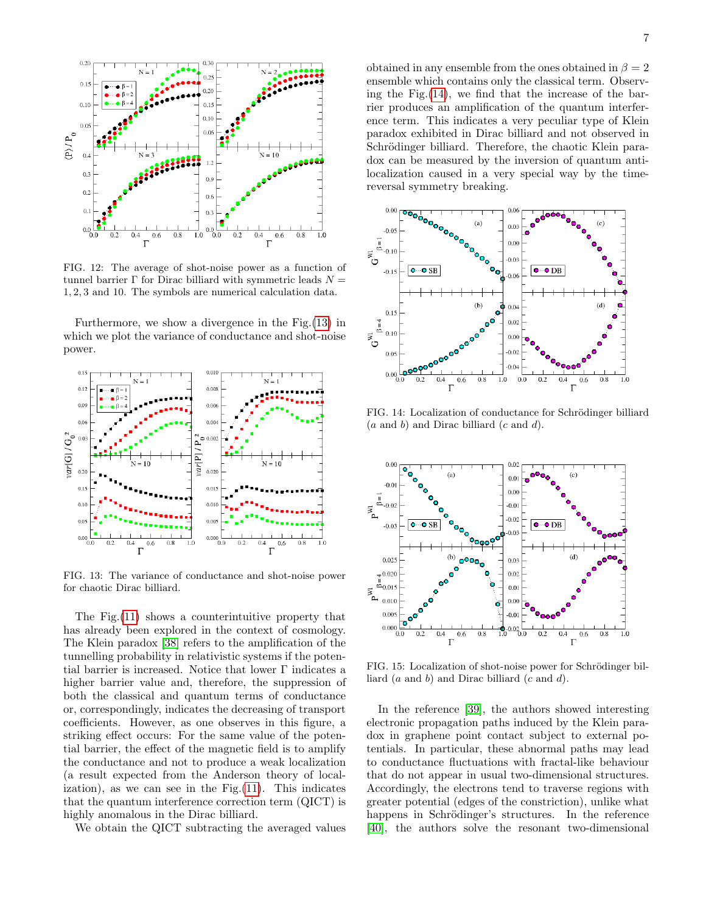

<span id="page-6-0"></span>FIG. 12: The average of shot-noise power as a function of tunnel barrier Γ for Dirac billiard with symmetric leads  $N =$ 1, 2, 3 and 10. The symbols are numerical calculation data.

Furthermore, we show a divergence in the Fig.[\(13\)](#page-6-1) in which we plot the variance of conductance and shot-noise power.



<span id="page-6-1"></span>FIG. 13: The variance of conductance and shot-noise power for chaotic Dirac billiard.

The Fig.[\(11\)](#page-5-2) shows a counterintuitive property that has already been explored in the context of cosmology. The Klein paradox [\[38\]](#page-8-30) refers to the amplification of the tunnelling probability in relativistic systems if the potential barrier is increased. Notice that lower Γ indicates a higher barrier value and, therefore, the suppression of both the classical and quantum terms of conductance or, correspondingly, indicates the decreasing of transport coefficients. However, as one observes in this figure, a striking effect occurs: For the same value of the potential barrier, the effect of the magnetic field is to amplify the conductance and not to produce a weak localization (a result expected from the Anderson theory of localization), as we can see in the  $Fig.(11)$  $Fig.(11)$ . This indicates that the quantum interference correction term (QICT) is highly anomalous in the Dirac billiard.

We obtain the QICT subtracting the averaged values

obtained in any ensemble from the ones obtained in  $\beta = 2$ ensemble which contains only the classical term. Observing the Fig. $(14)$ , we find that the increase of the barrier produces an amplification of the quantum interference term. This indicates a very peculiar type of Klein paradox exhibited in Dirac billiard and not observed in Schrödinger billiard. Therefore, the chaotic Klein paradox can be measured by the inversion of quantum antilocalization caused in a very special way by the timereversal symmetry breaking.



<span id="page-6-2"></span>FIG. 14: Localization of conductance for Schrödinger billiard  $(a \text{ and } b)$  and Dirac billiard  $(c \text{ and } d)$ .



FIG. 15: Localization of shot-noise power for Schrödinger billiard  $(a \text{ and } b)$  and Dirac billiard  $(c \text{ and } d)$ .

In the reference [\[39\]](#page-8-31), the authors showed interesting electronic propagation paths induced by the Klein paradox in graphene point contact subject to external potentials. In particular, these abnormal paths may lead to conductance fluctuations with fractal-like behaviour that do not appear in usual two-dimensional structures. Accordingly, the electrons tend to traverse regions with greater potential (edges of the constriction), unlike what happens in Schrödinger's structures. In the reference [\[40\]](#page-8-32), the authors solve the resonant two-dimensional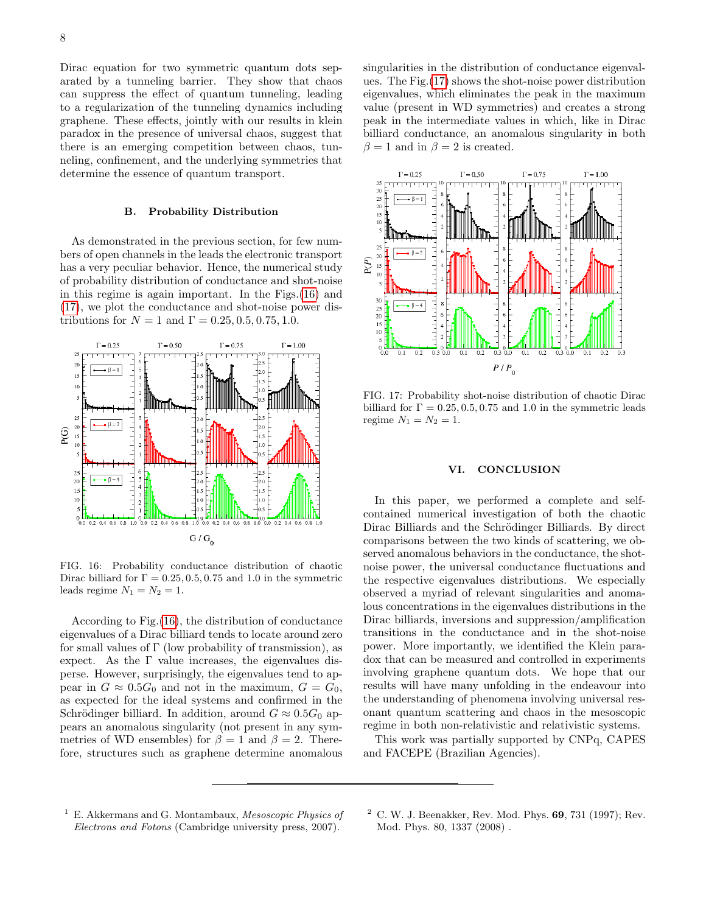Dirac equation for two symmetric quantum dots separated by a tunneling barrier. They show that chaos can suppress the effect of quantum tunneling, leading to a regularization of the tunneling dynamics including graphene. These effects, jointly with our results in klein paradox in the presence of universal chaos, suggest that there is an emerging competition between chaos, tunneling, confinement, and the underlying symmetries that determine the essence of quantum transport.

### B. Probability Distribution

As demonstrated in the previous section, for few numbers of open channels in the leads the electronic transport has a very peculiar behavior. Hence, the numerical study of probability distribution of conductance and shot-noise in this regime is again important. In the Figs.[\(16\)](#page-7-1) and [\(17\)](#page-7-2), we plot the conductance and shot-noise power distributions for  $N = 1$  and  $\Gamma = 0.25, 0.5, 0.75, 1.0$ .



<span id="page-7-1"></span>FIG. 16: Probability conductance distribution of chaotic Dirac billiard for  $\Gamma = 0.25, 0.5, 0.75$  and 1.0 in the symmetric leads regime  $N_1 = N_2 = 1$ .

According to Fig.[\(16\)](#page-7-1), the distribution of conductance eigenvalues of a Dirac billiard tends to locate around zero for small values of  $\Gamma$  (low probability of transmission), as expect. As the  $\Gamma$  value increases, the eigenvalues disperse. However, surprisingly, the eigenvalues tend to appear in  $G \approx 0.5G_0$  and not in the maximum,  $G = G_0$ , as expected for the ideal systems and confirmed in the Schrödinger billiard. In addition, around  $G \approx 0.5G_0$  appears an anomalous singularity (not present in any symmetries of WD ensembles) for  $\beta = 1$  and  $\beta = 2$ . Therefore, structures such as graphene determine anomalous singularities in the distribution of conductance eigenvalues. The Fig.[\(17\)](#page-7-2) shows the shot-noise power distribution eigenvalues, which eliminates the peak in the maximum value (present in WD symmetries) and creates a strong peak in the intermediate values in which, like in Dirac billiard conductance, an anomalous singularity in both  $\beta = 1$  and in  $\beta = 2$  is created.



<span id="page-7-2"></span>FIG. 17: Probability shot-noise distribution of chaotic Dirac billiard for  $\Gamma = 0.25, 0.5, 0.75$  and 1.0 in the symmetric leads regime  $N_1 = N_2 = 1$ .

# VI. CONCLUSION

In this paper, we performed a complete and selfcontained numerical investigation of both the chaotic Dirac Billiards and the Schrödinger Billiards. By direct comparisons between the two kinds of scattering, we observed anomalous behaviors in the conductance, the shotnoise power, the universal conductance fluctuations and the respective eigenvalues distributions. We especially observed a myriad of relevant singularities and anomalous concentrations in the eigenvalues distributions in the Dirac billiards, inversions and suppression/amplification transitions in the conductance and in the shot-noise power. More importantly, we identified the Klein paradox that can be measured and controlled in experiments involving graphene quantum dots. We hope that our results will have many unfolding in the endeavour into the understanding of phenomena involving universal resonant quantum scattering and chaos in the mesoscopic regime in both non-relativistic and relativistic systems.

This work was partially supported by CNPq, CAPES and FACEPE (Brazilian Agencies).

<span id="page-7-0"></span><sup>&</sup>lt;sup>1</sup> E. Akkermans and G. Montambaux, *Mesoscopic Physics of* Electrons and Fotons (Cambridge university press, 2007).

 $2^2$  C. W. J. Beenakker, Rev. Mod. Phys. 69, 731 (1997); Rev. Mod. Phys. 80, 1337 (2008) .